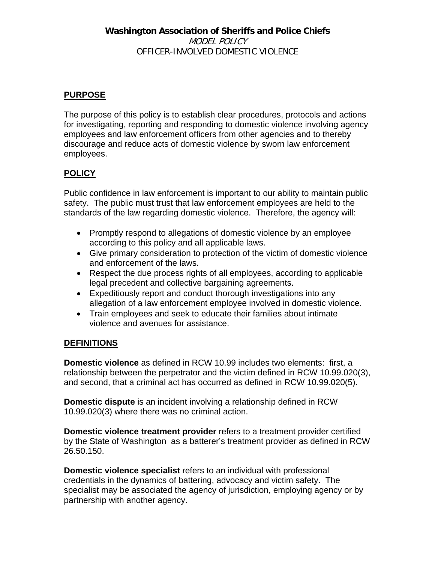## **Washington Association of Sheriffs and Police Chiefs**  MODEL POLICY OFFICER-INVOLVED DOMESTIC VIOLENCE

# **PURPOSE**

The purpose of this policy is to establish clear procedures, protocols and actions for investigating, reporting and responding to domestic violence involving agency employees and law enforcement officers from other agencies and to thereby discourage and reduce acts of domestic violence by sworn law enforcement employees.

## **POLICY**

Public confidence in law enforcement is important to our ability to maintain public safety. The public must trust that law enforcement employees are held to the standards of the law regarding domestic violence. Therefore, the agency will:

- Promptly respond to allegations of domestic violence by an employee according to this policy and all applicable laws.
- Give primary consideration to protection of the victim of domestic violence and enforcement of the laws.
- Respect the due process rights of all employees, according to applicable legal precedent and collective bargaining agreements.
- Expeditiously report and conduct thorough investigations into any allegation of a law enforcement employee involved in domestic violence.
- Train employees and seek to educate their families about intimate violence and avenues for assistance.

## **DEFINITIONS**

**Domestic violence** as defined in RCW 10.99 includes two elements: first, a relationship between the perpetrator and the victim defined in RCW 10.99.020(3), and second, that a criminal act has occurred as defined in RCW 10.99.020(5).

**Domestic dispute** is an incident involving a relationship defined in RCW 10.99.020(3) where there was no criminal action.

**Domestic violence treatment provider** refers to a treatment provider certified by the State of Washington as a batterer's treatment provider as defined in RCW 26.50.150.

**Domestic violence specialist** refers to an individual with professional credentials in the dynamics of battering, advocacy and victim safety. The specialist may be associated the agency of jurisdiction, employing agency or by partnership with another agency.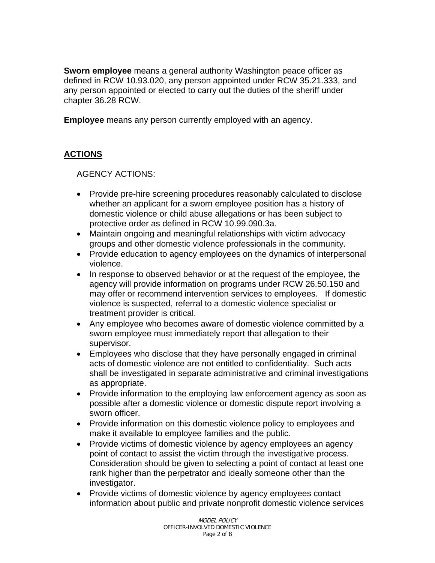**Sworn employee** means a general authority Washington peace officer as defined in RCW 10.93.020, any person appointed under RCW 35.21.333, and any person appointed or elected to carry out the duties of the sheriff under chapter 36.28 RCW.

**Employee** means any person currently employed with an agency.

## **ACTIONS**

AGENCY ACTIONS:

- Provide pre-hire screening procedures reasonably calculated to disclose whether an applicant for a sworn employee position has a history of domestic violence or child abuse allegations or has been subject to protective order as defined in RCW 10.99.090.3a.
- Maintain ongoing and meaningful relationships with victim advocacy groups and other domestic violence professionals in the community.
- Provide education to agency employees on the dynamics of interpersonal violence.
- In response to observed behavior or at the request of the employee, the agency will provide information on programs under RCW 26.50.150 and may offer or recommend intervention services to employees. If domestic violence is suspected, referral to a domestic violence specialist or treatment provider is critical.
- Any employee who becomes aware of domestic violence committed by a sworn employee must immediately report that allegation to their supervisor.
- Employees who disclose that they have personally engaged in criminal acts of domestic violence are not entitled to confidentiality. Such acts shall be investigated in separate administrative and criminal investigations as appropriate.
- Provide information to the employing law enforcement agency as soon as possible after a domestic violence or domestic dispute report involving a sworn officer.
- Provide information on this domestic violence policy to employees and make it available to employee families and the public.
- Provide victims of domestic violence by agency employees an agency point of contact to assist the victim through the investigative process. Consideration should be given to selecting a point of contact at least one rank higher than the perpetrator and ideally someone other than the investigator.
- Provide victims of domestic violence by agency employees contact information about public and private nonprofit domestic violence services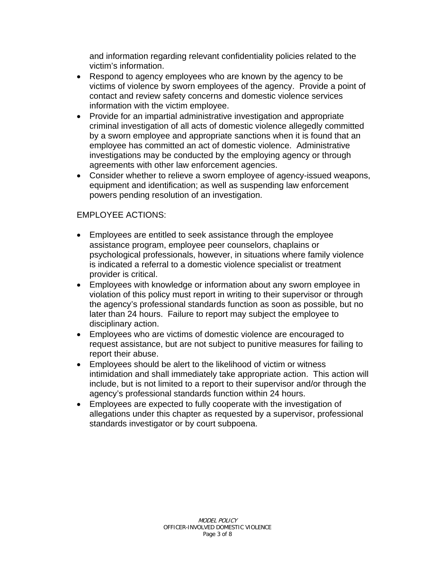and information regarding relevant confidentiality policies related to the victim's information.

- Respond to agency employees who are known by the agency to be victims of violence by sworn employees of the agency. Provide a point of contact and review safety concerns and domestic violence services information with the victim employee.
- Provide for an impartial administrative investigation and appropriate criminal investigation of all acts of domestic violence allegedly committed by a sworn employee and appropriate sanctions when it is found that an employee has committed an act of domestic violence. Administrative investigations may be conducted by the employing agency or through agreements with other law enforcement agencies.
- Consider whether to relieve a sworn employee of agency-issued weapons, equipment and identification; as well as suspending law enforcement powers pending resolution of an investigation.

#### EMPLOYEE ACTIONS:

- Employees are entitled to seek assistance through the employee assistance program, employee peer counselors, chaplains or psychological professionals, however, in situations where family violence is indicated a referral to a domestic violence specialist or treatment provider is critical.
- Employees with knowledge or information about any sworn employee in violation of this policy must report in writing to their supervisor or through the agency's professional standards function as soon as possible, but no later than 24 hours. Failure to report may subject the employee to disciplinary action.
- Employees who are victims of domestic violence are encouraged to request assistance, but are not subject to punitive measures for failing to report their abuse.
- Employees should be alert to the likelihood of victim or witness intimidation and shall immediately take appropriate action. This action will include, but is not limited to a report to their supervisor and/or through the agency's professional standards function within 24 hours.
- Employees are expected to fully cooperate with the investigation of allegations under this chapter as requested by a supervisor, professional standards investigator or by court subpoena.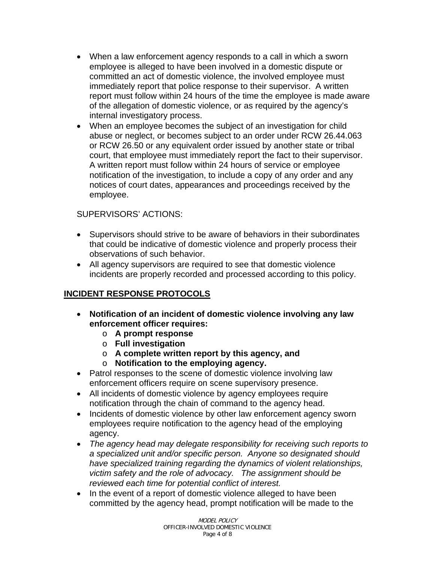- When a law enforcement agency responds to a call in which a sworn employee is alleged to have been involved in a domestic dispute or committed an act of domestic violence, the involved employee must immediately report that police response to their supervisor. A written report must follow within 24 hours of the time the employee is made aware of the allegation of domestic violence, or as required by the agency's internal investigatory process.
- When an employee becomes the subject of an investigation for child abuse or neglect, or becomes subject to an order under RCW 26.44.063 or RCW 26.50 or any equivalent order issued by another state or tribal court, that employee must immediately report the fact to their supervisor. A written report must follow within 24 hours of service or employee notification of the investigation, to include a copy of any order and any notices of court dates, appearances and proceedings received by the employee.

#### SUPERVISORS' ACTIONS:

- Supervisors should strive to be aware of behaviors in their subordinates that could be indicative of domestic violence and properly process their observations of such behavior.
- All agency supervisors are required to see that domestic violence incidents are properly recorded and processed according to this policy.

## **INCIDENT RESPONSE PROTOCOLS**

- **Notification of an incident of domestic violence involving any law enforcement officer requires:** 
	- o **A prompt response**
	- o **Full investigation**
	- o **A complete written report by this agency, and**
	- o **Notification to the employing agency.**
- Patrol responses to the scene of domestic violence involving law enforcement officers require on scene supervisory presence.
- All incidents of domestic violence by agency employees require notification through the chain of command to the agency head.
- Incidents of domestic violence by other law enforcement agency sworn employees require notification to the agency head of the employing agency.
- *The agency head may delegate responsibility for receiving such reports to a specialized unit and/or specific person. Anyone so designated should have specialized training regarding the dynamics of violent relationships, victim safety and the role of advocacy. The assignment should be reviewed each time for potential conflict of interest.*
- In the event of a report of domestic violence alleged to have been committed by the agency head, prompt notification will be made to the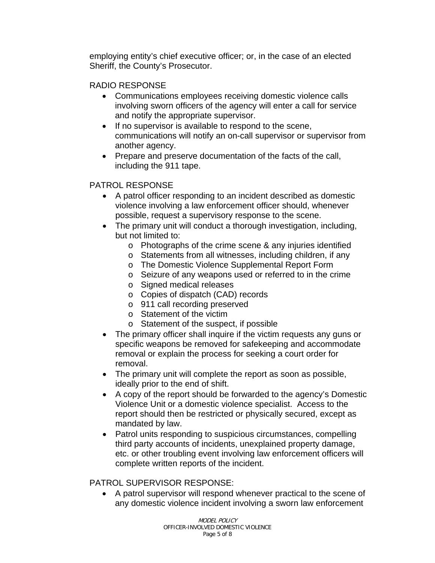employing entity's chief executive officer; or, in the case of an elected Sheriff, the County's Prosecutor.

#### RADIO RESPONSE

- Communications employees receiving domestic violence calls involving sworn officers of the agency will enter a call for service and notify the appropriate supervisor.
- If no supervisor is available to respond to the scene, communications will notify an on-call supervisor or supervisor from another agency.
- Prepare and preserve documentation of the facts of the call, including the 911 tape.

## PATROL RESPONSE

- A patrol officer responding to an incident described as domestic violence involving a law enforcement officer should, whenever possible, request a supervisory response to the scene.
- The primary unit will conduct a thorough investigation, including, but not limited to:
	- o Photographs of the crime scene & any injuries identified
	- o Statements from all witnesses, including children, if any
	- o The Domestic Violence Supplemental Report Form
	- o Seizure of any weapons used or referred to in the crime
	- o Signed medical releases
	- o Copies of dispatch (CAD) records
	- o 911 call recording preserved
	- o Statement of the victim
	- o Statement of the suspect, if possible
- The primary officer shall inquire if the victim requests any guns or specific weapons be removed for safekeeping and accommodate removal or explain the process for seeking a court order for removal.
- The primary unit will complete the report as soon as possible, ideally prior to the end of shift.
- A copy of the report should be forwarded to the agency's Domestic Violence Unit or a domestic violence specialist. Access to the report should then be restricted or physically secured, except as mandated by law.
- Patrol units responding to suspicious circumstances, compelling third party accounts of incidents, unexplained property damage, etc. or other troubling event involving law enforcement officers will complete written reports of the incident.

## PATROL SUPERVISOR RESPONSE:

• A patrol supervisor will respond whenever practical to the scene of any domestic violence incident involving a sworn law enforcement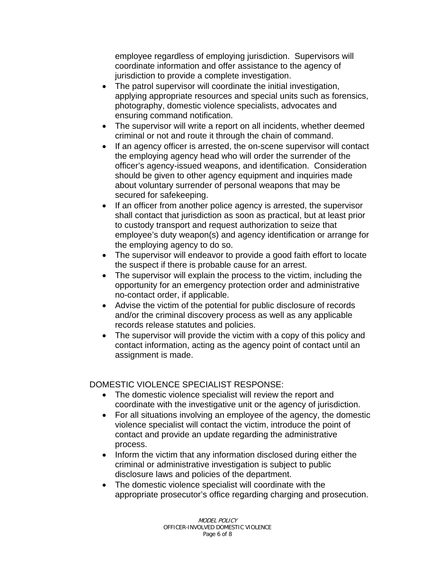employee regardless of employing jurisdiction. Supervisors will coordinate information and offer assistance to the agency of jurisdiction to provide a complete investigation.

- The patrol supervisor will coordinate the initial investigation, applying appropriate resources and special units such as forensics, photography, domestic violence specialists, advocates and ensuring command notification.
- The supervisor will write a report on all incidents, whether deemed criminal or not and route it through the chain of command.
- If an agency officer is arrested, the on-scene supervisor will contact the employing agency head who will order the surrender of the officer's agency-issued weapons, and identification. Consideration should be given to other agency equipment and inquiries made about voluntary surrender of personal weapons that may be secured for safekeeping.
- If an officer from another police agency is arrested, the supervisor shall contact that jurisdiction as soon as practical, but at least prior to custody transport and request authorization to seize that employee's duty weapon(s) and agency identification or arrange for the employing agency to do so.
- The supervisor will endeavor to provide a good faith effort to locate the suspect if there is probable cause for an arrest.
- The supervisor will explain the process to the victim, including the opportunity for an emergency protection order and administrative no-contact order, if applicable.
- Advise the victim of the potential for public disclosure of records and/or the criminal discovery process as well as any applicable records release statutes and policies.
- The supervisor will provide the victim with a copy of this policy and contact information, acting as the agency point of contact until an assignment is made.

DOMESTIC VIOLENCE SPECIALIST RESPONSE:

- The domestic violence specialist will review the report and coordinate with the investigative unit or the agency of jurisdiction.
- For all situations involving an employee of the agency, the domestic violence specialist will contact the victim, introduce the point of contact and provide an update regarding the administrative process.
- Inform the victim that any information disclosed during either the criminal or administrative investigation is subject to public disclosure laws and policies of the department.
- The domestic violence specialist will coordinate with the appropriate prosecutor's office regarding charging and prosecution.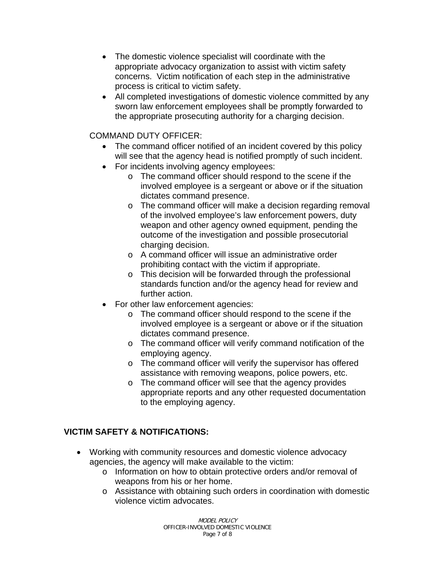- The domestic violence specialist will coordinate with the appropriate advocacy organization to assist with victim safety concerns. Victim notification of each step in the administrative process is critical to victim safety.
- All completed investigations of domestic violence committed by any sworn law enforcement employees shall be promptly forwarded to the appropriate prosecuting authority for a charging decision.

## COMMAND DUTY OFFICER:

- The command officer notified of an incident covered by this policy will see that the agency head is notified promptly of such incident.
- For incidents involving agency employees:
	- o The command officer should respond to the scene if the involved employee is a sergeant or above or if the situation dictates command presence.
	- o The command officer will make a decision regarding removal of the involved employee's law enforcement powers, duty weapon and other agency owned equipment, pending the outcome of the investigation and possible prosecutorial charging decision.
	- o A command officer will issue an administrative order prohibiting contact with the victim if appropriate.
	- o This decision will be forwarded through the professional standards function and/or the agency head for review and further action.
- For other law enforcement agencies:
	- o The command officer should respond to the scene if the involved employee is a sergeant or above or if the situation dictates command presence.
	- o The command officer will verify command notification of the employing agency.
	- o The command officer will verify the supervisor has offered assistance with removing weapons, police powers, etc.
	- o The command officer will see that the agency provides appropriate reports and any other requested documentation to the employing agency.

## **VICTIM SAFETY & NOTIFICATIONS:**

- Working with community resources and domestic violence advocacy agencies, the agency will make available to the victim:
	- o Information on how to obtain protective orders and/or removal of weapons from his or her home.
	- o Assistance with obtaining such orders in coordination with domestic violence victim advocates.